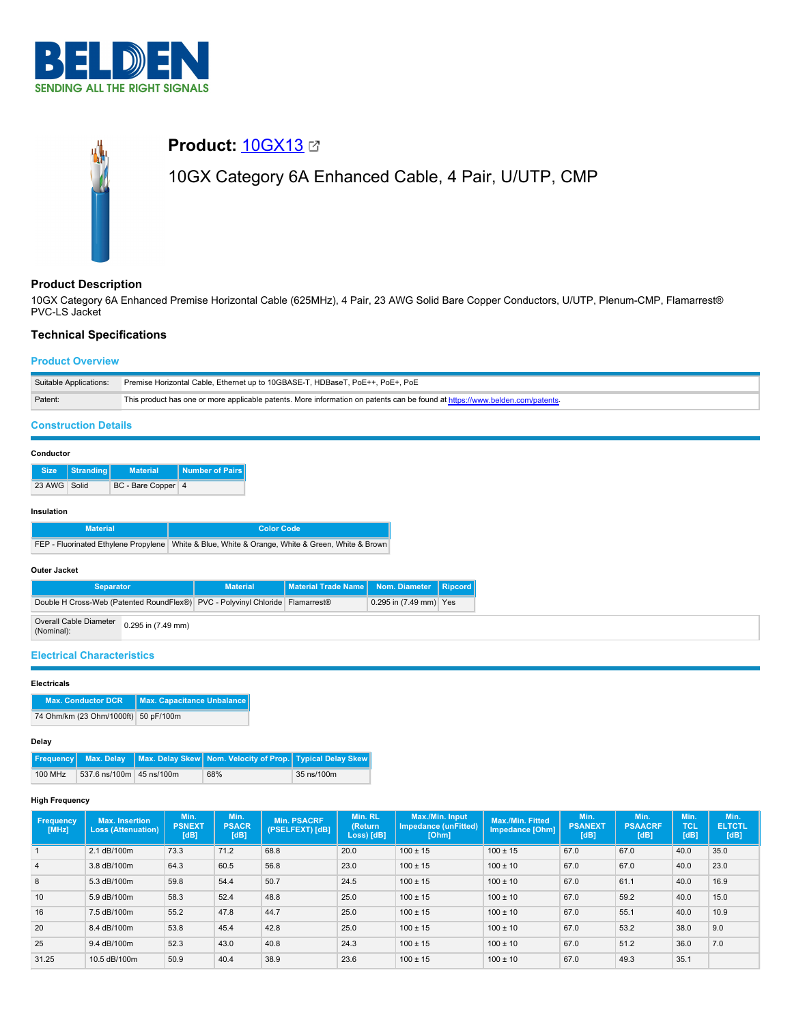

# **Product: [10GX13](https://catalog.belden.com/index.cfm?event=pd&p=PF_10GX13&tab=downloads) 27** 10GX Category 6A Enhanced Cable, 4 Pair, U/UTP, CMP

#### **Product Description**

10GX Category 6A Enhanced Premise Horizontal Cable (625MHz), 4 Pair, 23 AWG Solid Bare Copper Conductors, U/UTP, Plenum-CMP, Flamarrest® PVC-LS Jacket

# **Technical Specifications**

# **Product Overview**

| Suitable Applications: | Premise Horizontal Cable, Ethernet up to 10GBASE-T, HDBaseT, PoE++, PoE+, PoE                                                |
|------------------------|------------------------------------------------------------------------------------------------------------------------------|
| Patent:                | This product has one or more applicable patents. More information on patents can be found at https://www.belden.com/patents- |
|                        |                                                                                                                              |

# **Construction Details**

#### **Conductor**

|              | Size   Stranding | <b>Material</b>    | Number of Pairs |
|--------------|------------------|--------------------|-----------------|
| 23 AWG Solid |                  | BC - Bare Copper 4 |                 |

#### **Insulation**

| Material <b>'</b> | Color Code                                                                                        |
|-------------------|---------------------------------------------------------------------------------------------------|
|                   | FEP - Fluorinated Ethylene Propylene   White & Blue, White & Orange, White & Green, White & Brown |

#### **Outer Jacket**

| <b>Separator</b>                     |                    | <b>Material</b>                                                               | Material Trade Name   Nom. Diameter   Ripcord |                        |  |
|--------------------------------------|--------------------|-------------------------------------------------------------------------------|-----------------------------------------------|------------------------|--|
|                                      |                    | Double H Cross-Web (Patented RoundFlex®) PVC - Polyvinyl Chloride Flamarrest® |                                               | 0.295 in (7.49 mm) Yes |  |
| Overall Cable Diameter<br>(Nominal): | 0.295 in (7.49 mm) |                                                                               |                                               |                        |  |

#### **Electrical Characteristics**

#### **Electricals**

| <b>Max. Conductor DCR</b>            | Max. Capacitance Unbalance |
|--------------------------------------|----------------------------|
| 74 Ohm/km (23 Ohm/1000ft) 50 pF/100m |                            |

#### **Delay**

|         |                          | <b>Frequency</b> Max. Delay Max. Delay Skew Nom. Velocity of Prop. Typical Delay Skew |            |
|---------|--------------------------|---------------------------------------------------------------------------------------|------------|
| 100 MHz | 537.6 ns/100m 45 ns/100m | 68%                                                                                   | 35 ns/100m |

#### **High Frequency**

| Frequency<br>[MHz] | <b>Max. Insertion</b><br><b>Loss (Attenuation)</b> | Min.<br><b>PSNEXT</b><br>[dB] | Min.<br><b>PSACR</b><br>[dB] | <b>Min. PSACRF</b><br>(PSELFEXT) [dB] | Min. RL<br>(Return<br>Loss) [dB] | Max./Min. Input<br>Impedance (unFitted)<br>[Ohm] | <b>Max./Min. Fitted</b><br>Impedance [Ohm] | Min.<br><b>PSANEXT</b><br>[dB] | Min.<br><b>PSAACRF</b><br>[dB] | Min.<br><b>TCL</b><br>[dB] | Min.<br><b>ELTCTL</b><br>[dB] |
|--------------------|----------------------------------------------------|-------------------------------|------------------------------|---------------------------------------|----------------------------------|--------------------------------------------------|--------------------------------------------|--------------------------------|--------------------------------|----------------------------|-------------------------------|
|                    | 2.1 dB/100m                                        | 73.3                          | 71.2                         | 68.8                                  | 20.0                             | $100 \pm 15$                                     | $100 \pm 15$                               | 67.0                           | 67.0                           | 40.0                       | 35.0                          |
| $\overline{4}$     | 3.8 dB/100m                                        | 64.3                          | 60.5                         | 56.8                                  | 23.0                             | $100 \pm 15$                                     | $100 \pm 10$                               | 67.0                           | 67.0                           | 40.0                       | 23.0                          |
| 8                  | 5.3 dB/100m                                        | 59.8                          | 54.4                         | 50.7                                  | 24.5                             | $100 \pm 15$                                     | $100 \pm 10$                               | 67.0                           | 61.1                           | 40.0                       | 16.9                          |
| 10                 | 5.9 dB/100m                                        | 58.3                          | 52.4                         | 48.8                                  | 25.0                             | $100 \pm 15$                                     | $100 \pm 10$                               | 67.0                           | 59.2                           | 40.0                       | 15.0                          |
| 16                 | 7.5 dB/100m                                        | 55.2                          | 47.8                         | 44.7                                  | 25.0                             | $100 \pm 15$                                     | $100 \pm 10$                               | 67.0                           | 55.1                           | 40.0                       | 10.9                          |
| 20                 | 8.4 dB/100m                                        | 53.8                          | 45.4                         | 42.8                                  | 25.0                             | $100 \pm 15$                                     | $100 \pm 10$                               | 67.0                           | 53.2                           | 38.0                       | 9.0                           |
| 25                 | 9.4 dB/100m                                        | 52.3                          | 43.0                         | 40.8                                  | 24.3                             | $100 \pm 15$                                     | $100 \pm 10$                               | 67.0                           | 51.2                           | 36.0                       | 7.0                           |
| 31.25              | 10.5 dB/100m                                       | 50.9                          | 40.4                         | 38.9                                  | 23.6                             | $100 \pm 15$                                     | $100 \pm 10$                               | 67.0                           | 49.3                           | 35.1                       |                               |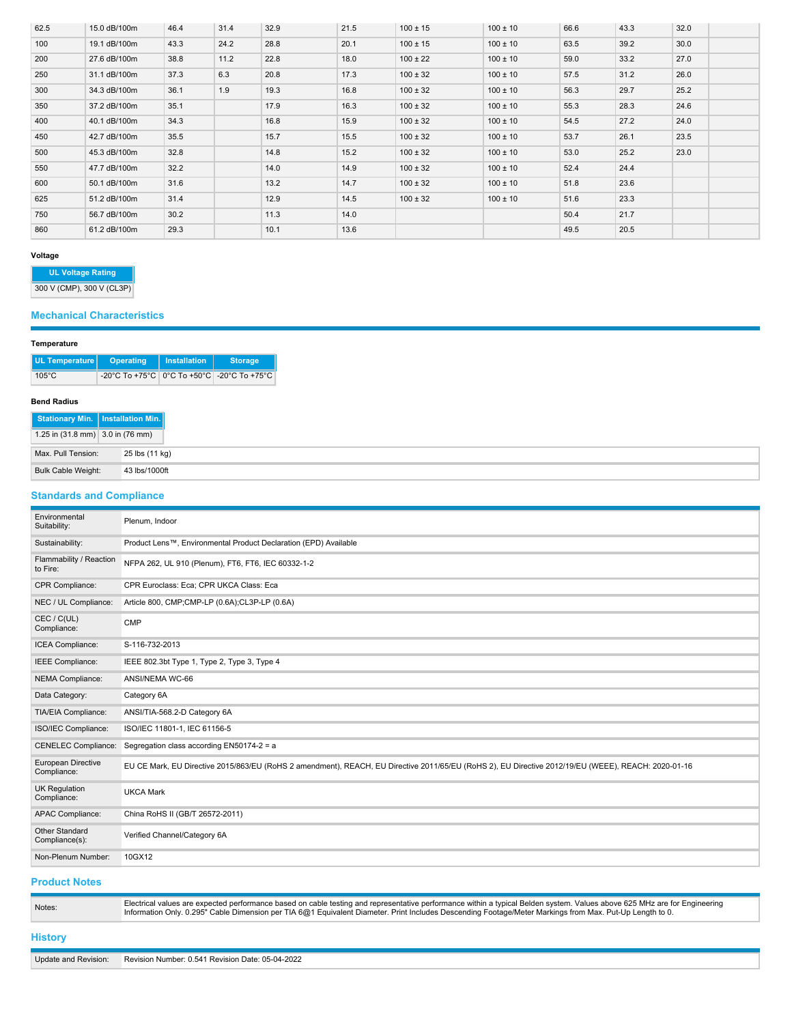| 62.5 | 15.0 dB/100m | 46.4 | 31.4 | 32.9 | 21.5 | $100 \pm 15$ | $100 \pm 10$ | 66.6 | 43.3 | 32.0 |  |
|------|--------------|------|------|------|------|--------------|--------------|------|------|------|--|
| 100  | 19.1 dB/100m | 43.3 | 24.2 | 28.8 | 20.1 | $100 \pm 15$ | $100 \pm 10$ | 63.5 | 39.2 | 30.0 |  |
| 200  | 27.6 dB/100m | 38.8 | 11.2 | 22.8 | 18.0 | $100 \pm 22$ | $100 \pm 10$ | 59.0 | 33.2 | 27.0 |  |
| 250  | 31.1 dB/100m | 37.3 | 6.3  | 20.8 | 17.3 | $100 \pm 32$ | $100 \pm 10$ | 57.5 | 31.2 | 26.0 |  |
| 300  | 34.3 dB/100m | 36.1 | 1.9  | 19.3 | 16.8 | $100 \pm 32$ | $100 \pm 10$ | 56.3 | 29.7 | 25.2 |  |
| 350  | 37.2 dB/100m | 35.1 |      | 17.9 | 16.3 | $100 \pm 32$ | $100 \pm 10$ | 55.3 | 28.3 | 24.6 |  |
| 400  | 40.1 dB/100m | 34.3 |      | 16.8 | 15.9 | $100 \pm 32$ | $100 \pm 10$ | 54.5 | 27.2 | 24.0 |  |
| 450  | 42.7 dB/100m | 35.5 |      | 15.7 | 15.5 | $100 \pm 32$ | $100 \pm 10$ | 53.7 | 26.1 | 23.5 |  |
| 500  | 45.3 dB/100m | 32.8 |      | 14.8 | 15.2 | $100 \pm 32$ | $100 \pm 10$ | 53.0 | 25.2 | 23.0 |  |
| 550  | 47.7 dB/100m | 32.2 |      | 14.0 | 14.9 | $100 \pm 32$ | $100 \pm 10$ | 52.4 | 24.4 |      |  |
| 600  | 50.1 dB/100m | 31.6 |      | 13.2 | 14.7 | $100 \pm 32$ | $100 \pm 10$ | 51.8 | 23.6 |      |  |
| 625  | 51.2 dB/100m | 31.4 |      | 12.9 | 14.5 | $100 \pm 32$ | $100 \pm 10$ | 51.6 | 23.3 |      |  |
| 750  | 56.7 dB/100m | 30.2 |      | 11.3 | 14.0 |              |              | 50.4 | 21.7 |      |  |
| 860  | 61.2 dB/100m | 29.3 |      | 10.1 | 13.6 |              |              | 49.5 | 20.5 |      |  |

#### **Voltage**

**UL Voltage Rating**

300 V (CMP), 300 V (CL3P)

# **Mechanical Characteristics**

# **Temperature**

| UL Temperature  | Operating | Installation | <b>Storage</b>                                 |
|-----------------|-----------|--------------|------------------------------------------------|
| $105^{\circ}$ C |           |              | -20°C To +75°C   0°C To +50°C   -20°C To +75°C |

#### **Bend Radius**

| Stationary Min.   Installation Min.                  |                |
|------------------------------------------------------|----------------|
| 1.25 in $(31.8 \text{ mm})$ 3.0 in $(76 \text{ mm})$ |                |
| Max. Pull Tension:                                   | 25 lbs (11 kg) |
| Bulk Cable Weight:                                   | 43 lbs/1000ft  |

# **Standards and Compliance**

| Environmental<br>Suitability:           | Plenum, Indoor                                                                                                                                      |
|-----------------------------------------|-----------------------------------------------------------------------------------------------------------------------------------------------------|
| Sustainability:                         | Product Lens™, Environmental Product Declaration (EPD) Available                                                                                    |
| Flammability / Reaction<br>to Fire:     | NFPA 262, UL 910 (Plenum), FT6, FT6, IEC 60332-1-2                                                                                                  |
| CPR Compliance:                         | CPR Euroclass: Eca; CPR UKCA Class: Eca                                                                                                             |
| NEC / UL Compliance:                    | Article 800, CMP;CMP-LP (0.6A);CL3P-LP (0.6A)                                                                                                       |
| CEC / C(UL)<br>Compliance:              | <b>CMP</b>                                                                                                                                          |
| ICEA Compliance:                        | S-116-732-2013                                                                                                                                      |
| <b>IEEE</b> Compliance:                 | IEEE 802.3bt Type 1, Type 2, Type 3, Type 4                                                                                                         |
| NEMA Compliance:                        | ANSI/NEMA WC-66                                                                                                                                     |
| Data Category:                          | Category 6A                                                                                                                                         |
| TIA/EIA Compliance:                     | ANSI/TIA-568.2-D Category 6A                                                                                                                        |
| ISO/IEC Compliance:                     | ISO/IEC 11801-1, IEC 61156-5                                                                                                                        |
| <b>CENELEC Compliance:</b>              | Segregation class according EN50174-2 = a                                                                                                           |
| European Directive<br>Compliance:       | EU CE Mark, EU Directive 2015/863/EU (RoHS 2 amendment), REACH, EU Directive 2011/65/EU (RoHS 2), EU Directive 2012/19/EU (WEEE), REACH: 2020-01-16 |
| <b>UK Regulation</b><br>Compliance:     | <b>UKCA Mark</b>                                                                                                                                    |
| APAC Compliance:                        | China RoHS II (GB/T 26572-2011)                                                                                                                     |
| <b>Other Standard</b><br>Compliance(s): | Verified Channel/Category 6A                                                                                                                        |
| Non-Plenum Number:                      | 10GX12                                                                                                                                              |

# **Product Notes**

| Notes:               | Electrical values are expected performance based on cable testing and representative performance within a typical Belden system. Values above 625 MHz are for Engineering<br>Information Only. 0.295" Cable Dimension per TIA 6@1 Equivalent Diameter. Print Includes Descending Footage/Meter Markings from Max. Put-Up Length to 0. |
|----------------------|---------------------------------------------------------------------------------------------------------------------------------------------------------------------------------------------------------------------------------------------------------------------------------------------------------------------------------------|
| <b>History</b>       |                                                                                                                                                                                                                                                                                                                                       |
| Update and Revision: | Revision Number: 0.541 Revision Date: 05-04-2022                                                                                                                                                                                                                                                                                      |
|                      |                                                                                                                                                                                                                                                                                                                                       |